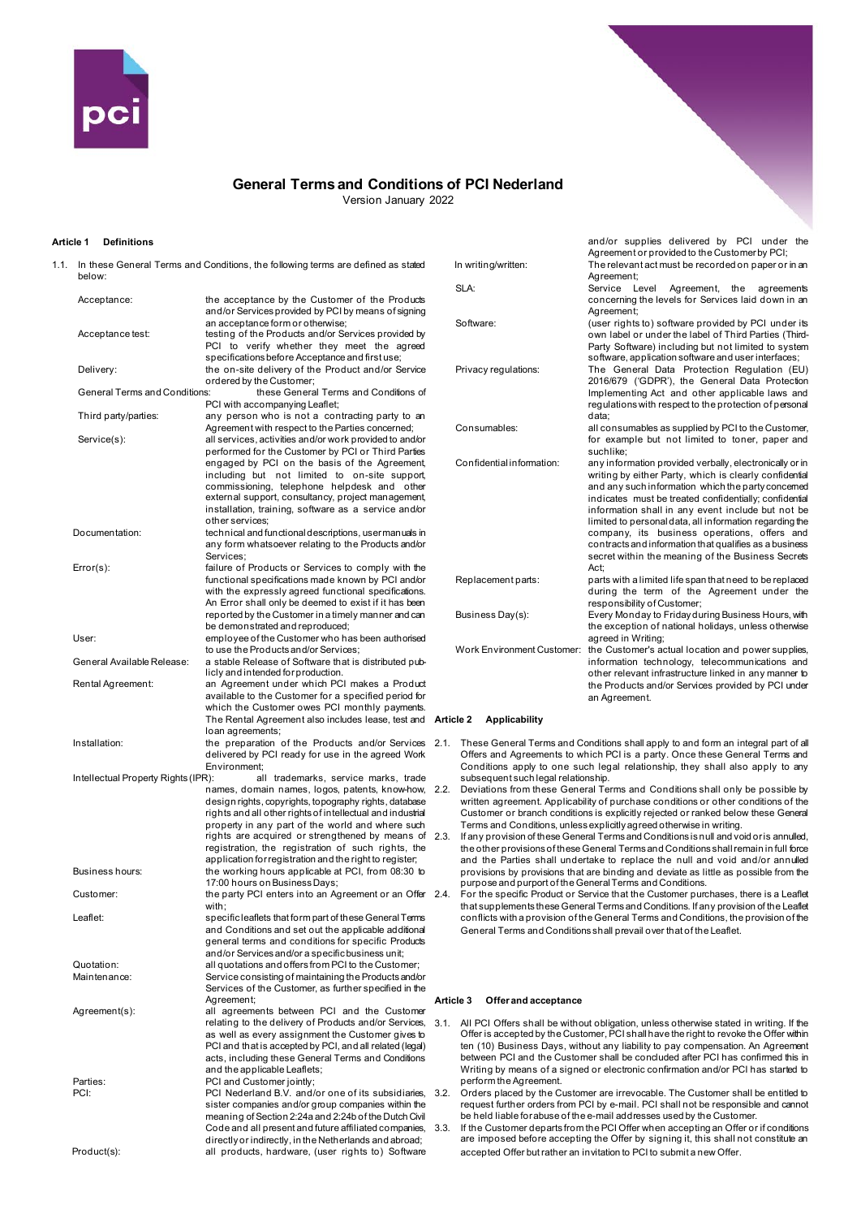

Version January 2022

# **Article 1 Definitions**

1.1. In these General Terms and Conditions, the following terms are defined as stated below: Acceptance: the acceptance by the Customer of the Products and/or Services provided by PCI by means of signing an acceptance form or otherwise; Acceptance test: testing of the Products and/or Services provided by PCI to verify whether they meet the agreed specifications before Acceptance and first use; Delivery: the on-site delivery of the Product and/or Service ordered by the Customer;<br>General Terms and Conditions: these General these General Terms and Conditions of PCI with accompanying Leaflet; Third party/parties: any person who is not a contracting party to an Agreement with respect to the Parties concerned; Service(s): all services, activities and/or work provided to and/or performed for the Customer by PCI or Third Parties engaged by PCI on the basis of the Agreement, including but not limited to on-site support, commissioning, telephone helpdesk and other external support, consultancy, project management, installation, training, software as a service and/or other services; Documentation: technical and functional descriptions, user manuals in any form whatsoever relating to the Products and/or **Services** Error(s): failure of Products or Services to comply with the functional specifications made known by PCI and/or with the expressly agreed functional specifications. An Error shall only be deemed to exist if it has been reported by the Customer in a timely manner and can be demonstrated and reproduced; User: employee of the Customer who has been authorised to use the Products and/or Services; General Available Release: a stable Release of Software that is distributed publicly and intended for production. Rental Agreement: an Agreement under which PCI makes a Product available to the Customer for a specified period for which the Customer owes PCI monthly payments. The Rental Agreement also includes lease, test and **Article 2 Applicability** loan agreements; Installation: the preparation of the Products and/or Services delivered by PCI ready for use in the agreed Work Environment;<br>R): all trademarks, service marks, trade Intellectual Property Rights (IPR): names, domain names, logos, patents, know-how, design rights, copyrights, topography rights, database rights and all other rights of intellectual and industrial property in any part of the world and where such rights are acquired or strengthened by means of registration, the registration of such rights, the application for registration and the right to register; Business hours: the working hours applicable at PCI, from 08:30 to 17:00 hours on Business Days; Customer: the party PCI enters into an Agreement or an Offer 2.4. with; Leaflet: specific leaflets that form part of these General Terms and Conditions and set out the applicable additional general terms and conditions for specific Products and/or Services and/or a specific business unit; Quotation: all quotations and offers from PCI to the Customer; Maintenance: Service consisting of maintaining the Products and/or Services of the Customer, as further specified in the Agreement; Agreement(s): all agreements between PCI and the Customer relating to the delivery of Products and/or Services, as well as every assignment the Customer gives to PCI and that is accepted by PCI, and all related (legal) acts, including these General Terms and Conditions and the applicable Leaflets; Parties: PCI and Customer jointly; PCI: PCI Nederland B.V. and/or one of its subsidiaries, sister companies and/or group companies within the meaning of Section 2:24a and 2:24b of the Dutch Civil Code and all present and future affiliated companies, directly or indirectly, in the Netherlands and abroad; Product(s): all products, hardware, (user rights to) Software

|                                   | and/or supplies delivered by PCI under the<br>Agreement or provided to the Customerby PCI;                                                                                                                                                                                                                                                                                                                                                                                                                               |
|-----------------------------------|--------------------------------------------------------------------------------------------------------------------------------------------------------------------------------------------------------------------------------------------------------------------------------------------------------------------------------------------------------------------------------------------------------------------------------------------------------------------------------------------------------------------------|
| In writing/written:               | The relevant act must be recorded on paper or in an<br>Agreement;                                                                                                                                                                                                                                                                                                                                                                                                                                                        |
| SLA:                              | Service<br>Level<br>Agreement,<br>the<br>agreements<br>concerning the levels for Services laid down in an<br>Agreement;                                                                                                                                                                                                                                                                                                                                                                                                  |
| Software:                         | (user rights to) software provided by PCI under its<br>own label or under the label of Third Parties (Third-<br>Party Software) including but not limited to system<br>software, application software and user interfaces;                                                                                                                                                                                                                                                                                               |
| Privacy regulations:              | The General Data Protection Regulation (EU)<br>2016/679 ('GDPR'), the General Data Protection<br>Implementing Act and other applicable laws and<br>regulations with respect to the protection of personal<br>data;                                                                                                                                                                                                                                                                                                       |
| Consumables:                      | all consumables as supplied by PCI to the Customer,<br>for example but not limited to toner, paper and<br>suchlike:                                                                                                                                                                                                                                                                                                                                                                                                      |
| Confidential information:         | any information provided verbally, electronically or in<br>writing by either Party, which is clearly confidential<br>and any such information which the party concerned<br>indicates must be treated confidentially; confidential<br>information shall in any event include but not be<br>limited to personal data, all information regarding the<br>company, its business operations, offers and<br>contracts and information that qualifies as a business<br>secret within the meaning of the Business Secrets<br>Act: |
| Replacement parts:                | parts with a limited life span that need to be replaced<br>during the term of the Agreement under the<br>responsibility of Customer;                                                                                                                                                                                                                                                                                                                                                                                     |
| Business Day(s):                  | Every Monday to Friday during Business Hours, with<br>the exception of national holidays, unless otherwise<br>agreed in Writing;                                                                                                                                                                                                                                                                                                                                                                                         |
| <b>Work Environment Customer:</b> | the Customer's actual location and power supplies,<br>information technology, telecommunications and<br>other relevant infrastructure linked in any manner to<br>the Products and/or Services provided by PCI under<br>an Agreement.                                                                                                                                                                                                                                                                                     |

- These General Terms and Conditions shall apply to and form an integral part of all Offers and Agreements to which PCI is a party. Once these General Terms and Conditions apply to one such legal relationship, they shall also apply to any subsequent such legal relationship.
- 2.2. Deviations from these General Terms and Conditions shall only be possible by written agreement. Applicability of purchase conditions or other conditions of the Customer or branch conditions is explicitly rejected or ranked below these General Terms and Conditions, unless explicitly agreed otherwise in writing.
- If any provision of these General Terms and Conditions is null and void or is annulled, the other provisions of these General Terms and Conditions shall remain in full force and the Parties shall undertake to replace the null and void and/or annulled provisions by provisions that are binding and deviate as little as possible from the purpose and purport of the General Terms and Conditions.
- 2.4. For the specific Product or Service that the Customer purchases, there is a Leaflet that supplements these General Terms and Conditions. If any provision of the Leaflet conflicts with a provision of the General Terms and Conditions, the provision of the General Terms and Conditions shall prevail over that of the Leaflet.

### **Article 3 Offer and acceptance**

- 3.1. All PCI Offers shall be without obligation, unless otherwise stated in writing. If the Offer is accepted by the Customer, PCI shall have the right to revoke the Offer within ten (10) Business Days, without any liability to pay compensation. An Agreement between PCI and the Customer shall be concluded after PCI has confirmed this in Writing by means of a signed or electronic confirmation and/or PCI has started to perform the Agreement.
- .<br>3.2. Orders placed by the Customer are irrevocable. The Customer shall be entitled to request further orders from PCI by e-mail. PCI shall not be responsible and cannot be held liable for abuse of the e-mail addresses used by the Customer.
- If the Customer departs from the PCI Offer when accepting an Offer or if conditions are imposed before accepting the Offer by signing it, this shall not constitute an accepted Offer but rather an invitation to PCI to submit a new Offer.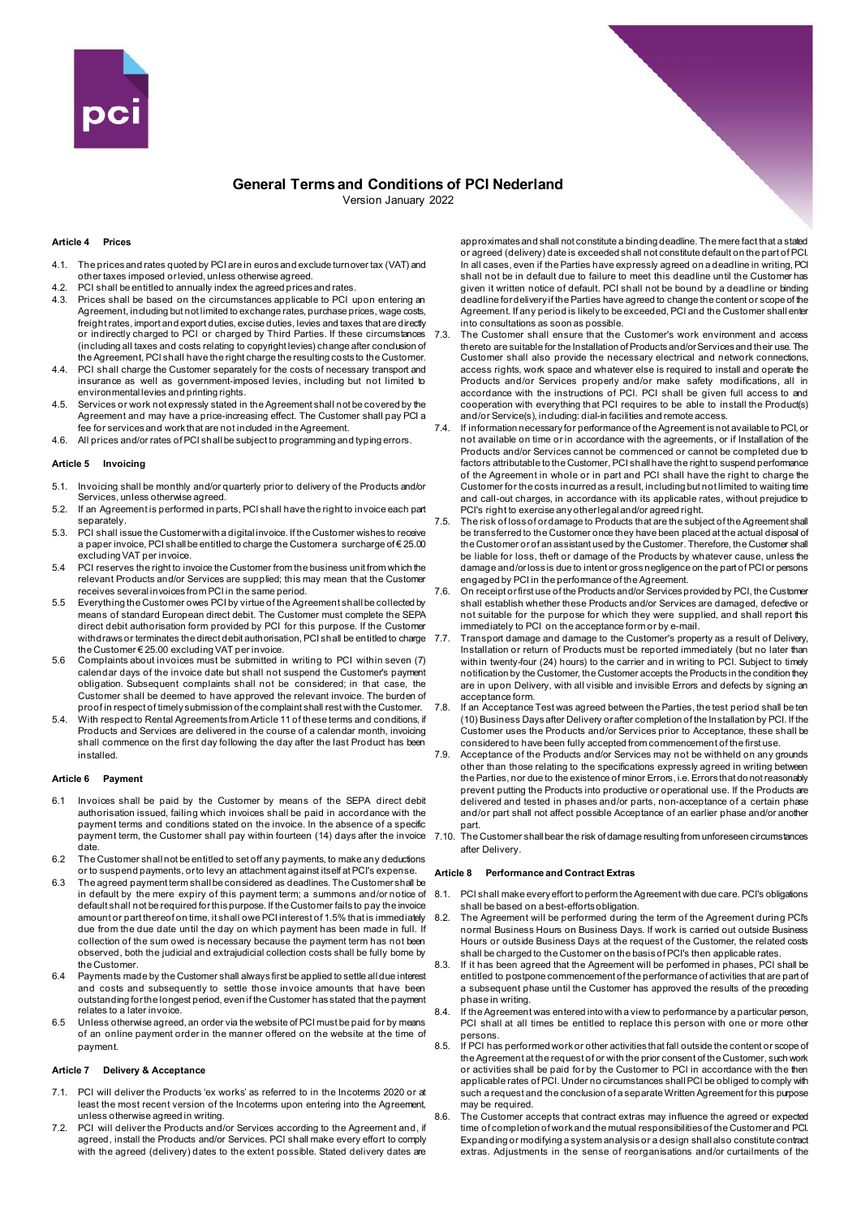

Version January 2022

## **Article 4 Prices**

- 4.1. The prices and rates quoted by PCI are in euros and exclude turnover tax (VAT) and other taxes imposed or levied, unless otherwise agreed.
- 4.2. PCI shall be entitled to annually index the agreed prices and rates.
- 4.3. Prices shall be based on the circumstances applicable to PCI upon entering an Agreement, including but not limited to exchange rates, purchase prices, wage costs, freight rates, import and export duties, excise duties, levies and taxes that are directly or indirectly charged to PCI or charged by Third Parties. If these circumstances (including all taxes and costs relating to copyright levies) change after conclusion of the Agreement, PCI shall have the right charge the resulting costs to the Customer.
- PCI shall charge the Customer separately for the costs of necessary transport and insurance as well as government-imposed levies, including but not limited to environmental levies and printing rights.
- 4.5. Services or work not expressly stated in the Agreement shall not be covered by the Agreement and may have a price-increasing effect. The Customer shall pay PCI a fee for services and work that are not included in the Agreement.
- 4.6. All prices and/or rates of PCI shall be subject to programming and typing errors.

## **Article 5 Invoicing**

- 5.1. Invoicing shall be monthly and/or quarterly prior to delivery of the Products and/or Services, unless otherwise agreed.
- 5.2. If an Agreement is performed in parts, PCI shall have the right to invoice each part separately.
- 5.3. PCI shall issue the Customer with a digital invoice. If the Customer wishes to receive a paper invoice, PCI shall be entitled to charge the Customer a surcharge of € 25.00 excluding VAT per invoice.
- 5.4 PCI reserves the right to invoice the Customer from the business unit from which the relevant Products and/or Services are supplied; this may mean that the Customer receives several invoices from PCI in the same period.
- 5.5 Everything the Customer owes PCI by virtue of the Agreement shall be collected by means of standard European direct debit. The Customer must complete the SEPA direct debit authorisation form provided by PCI for this purpose. If the Customer withdraws or terminates the direct debit authorisation, PCI shall be entitled to charge 7.7. the Customer € 25.00 excluding VAT per invoice.
- 5.6 Complaints about invoices must be submitted in writing to PCI within seven (7) calendar days of the invoice date but shall not suspend the Customer's payment obligation. Subsequent complaints shall not be considered; in that case, the Customer shall be deemed to have approved the relevant invoice. The burden of proof in respect of timely submission of the complaint shall rest with the Customer.
- 5.4. With respect to Rental Agreements from Article 11 of these terms and conditions, if Products and Services are delivered in the course of a calendar month, invoicing shall commence on the first day following the day after the last Product has been installed.

#### **Article 6 Payment**

- 6.1 Invoices shall be paid by the Customer by means of the SEPA direct debit authorisation issued, failing which invoices shall be paid in accordance with the payment terms and conditions stated on the invoice. In the absence of a specific payment term, the Customer shall pay within fourteen (14) days after the invoice date.
- 6.2 The Customer shall not be entitled to set off any payments, to make any deductions or to suspend payments, or to levy an attachment against itself at PCI's expense.
- 6.3 The agreed payment term shall be considered as deadlines. The Customer shall be in default by the mere expiry of this payment term; a summons and/or notice of default shall not be required for this purpose. If the Customer fails to pay the invoice amount or part thereof on time, it shall owe PCI interest of 1.5% that is immediately due from the due date until the day on which payment has been made in full. If collection of the sum owed is necessary because the payment term has not been observed, both the judicial and extrajudicial collection costs shall be fully borne by the Customer.
- 6.4 Payments made by the Customer shall always first be applied to settle all due interest and costs and subsequently to settle those invoice amounts that have been outstanding for the longest period, even if the Customer has stated that the payment relates to a later invoice.
- 6.5 Unless otherwise agreed, an order via the website of PCI must be paid for by means of an online payment order in the manner offered on the website at the time of payment.

#### **Article 7 Delivery & Acceptance**

- 7.1. PCI will deliver the Products 'ex works' as referred to in the Incoterms 2020 or at least the most recent version of the Incoterms upon entering into the Agreement unless otherwise agreed in writing.
- 7.2. PCI will deliver the Products and/or Services according to the Agreement and, if agreed, install the Products and/or Services. PCI shall make every effort to comply with the agreed (delivery) dates to the extent possible. Stated delivery dates are

approximates and shall not constitute a binding deadline. The mere fact that a stated or agreed (delivery) date is exceeded shall not constitute default on the part of PCI. In all cases, even if the Parties have expressly agreed on a deadline in writing, PCI shall not be in default due to failure to meet this deadline until the Customer has given it written notice of default. PCI shall not be bound by a deadline or binding deadline for delivery if the Parties have agreed to change the content or scope of the Agreement. If any period is likely to be exceeded, PCI and the Customer shall enter into consultations as soon as possible.

7.3. The Customer shall ensure that the Customer's work environment and access thereto are suitable for the Installation of Products and/or Services and their use. The Customer shall also provide the necessary electrical and network connections, access rights, work space and whatever else is required to install and operate the Products and/or Services properly and/or make safety modifications, all in accordance with the instructions of PCI. PCI shall be given full access to and cooperation with everything that PCI requires to be able to install the Product(s) and/or Service(s), including: dial-in facilities and remote access.

- 7.4. If information necessary for performance of the Agreement is not available to PCI, or not available on time or in accordance with the agreements, or if Installation of the Products and/or Services cannot be commenced or cannot be completed due to factors attributable to the Customer, PCI shall have the right to suspend performance of the Agreement in whole or in part and PCI shall have the right to charge the Customer for the costs incurred as a result, including but not limited to waiting time and call-out charges, in accordance with its applicable rates, without prejudice to PCI's right to exercise any other legal and/or agreed right.
- 7.5. The risk of loss of or damage to Products that are the subject of the Agreement shall be transferred to the Customer once they have been placed at the actual disposal of the Customer or of an assistant used by the Customer. Therefore, the Customer shall be liable for loss, theft or damage of the Products by whatever cause, unless the damage and/or loss is due to intent or gross negligence on the part of PCI or persons engaged by PCI in the performance of the Agreement.
- 7.6. On receipt or first use of the Products and/or Services provided by PCI, the Customer shall establish whether these Products and/or Services are damaged, defective or not suitable for the purpose for which they were supplied, and shall report this immediately to PCI on the acceptance form or by e-mail.
- 7.7. Transport damage and damage to the Customer's property as a result of Delivery, Installation or return of Products must be reported immediately (but no later than within twenty-four (24) hours) to the carrier and in writing to PCI. Subject to timely notification by the Customer, the Customer accepts the Products in the condition they are in upon Delivery, with all visible and invisible Errors and defects by signing an acceptance form.
- If an Acceptance Test was agreed between the Parties, the test period shall be ten (10) Business Days after Delivery or after completion of the Installation by PCI. If the Customer uses the Products and/or Services prior to Acceptance, these shall be considered to have been fully accepted from commencement of the first use.
- 7.9. Acceptance of the Products and/or Services may not be withheld on any grounds other than those relating to the specifications expressly agreed in writing between the Parties, nor due to the existence of minor Errors, i.e. Errors that do not reasonably prevent putting the Products into productive or operational use. If the Products are delivered and tested in phases and/or parts, non-acceptance of a certain phase and/or part shall not affect possible Acceptance of an earlier phase and/or another part.
- 7.10. The Customer shall bear the risk of damage resulting from unforeseen circumstances after Delivery.

#### **Article 8 Performance and Contract Extras**

- 8.1. PCI shall make every effort to perform the Agreement with due care. PCI's obligations shall be based on a best-efforts obligation.
- 8.2. The Agreement will be performed during the term of the Agreement during PCI's normal Business Hours on Business Days. If work is carried out outside Business Hours or outside Business Days at the request of the Customer, the related costs shall be charged to the Customer on the basis of PCI's then applicable rates.
- If it has been agreed that the Agreement will be performed in phases, PCI shall be entitled to postpone commencement of the performance of activities that are part of a subsequent phase until the Customer has approved the results of the preceding phase in writing.
- If the Agreement was entered into with a view to performance by a particular person. PCI shall at all times be entitled to replace this person with one or more other persons.
- 8.5. If PCI has performed work or other activities that fall outside the content or scope of the Agreement at the request of or with the prior consent of the Customer, such work or activities shall be paid for by the Customer to PCI in accordance with the then applicable rates of PCI. Under no circumstances shall PCI be obliged to comply with such a request and the conclusion of a separate Written Agreement for this purpose may be required.
- 8.6. The Customer accepts that contract extras may influence the agreed or expected time of completion of work and the mutual responsibilities of the Customer and PCI. Expanding or modifying a system analysis or a design shall also constitute contract extras. Adjustments in the sense of reorganisations and/or curtailments of the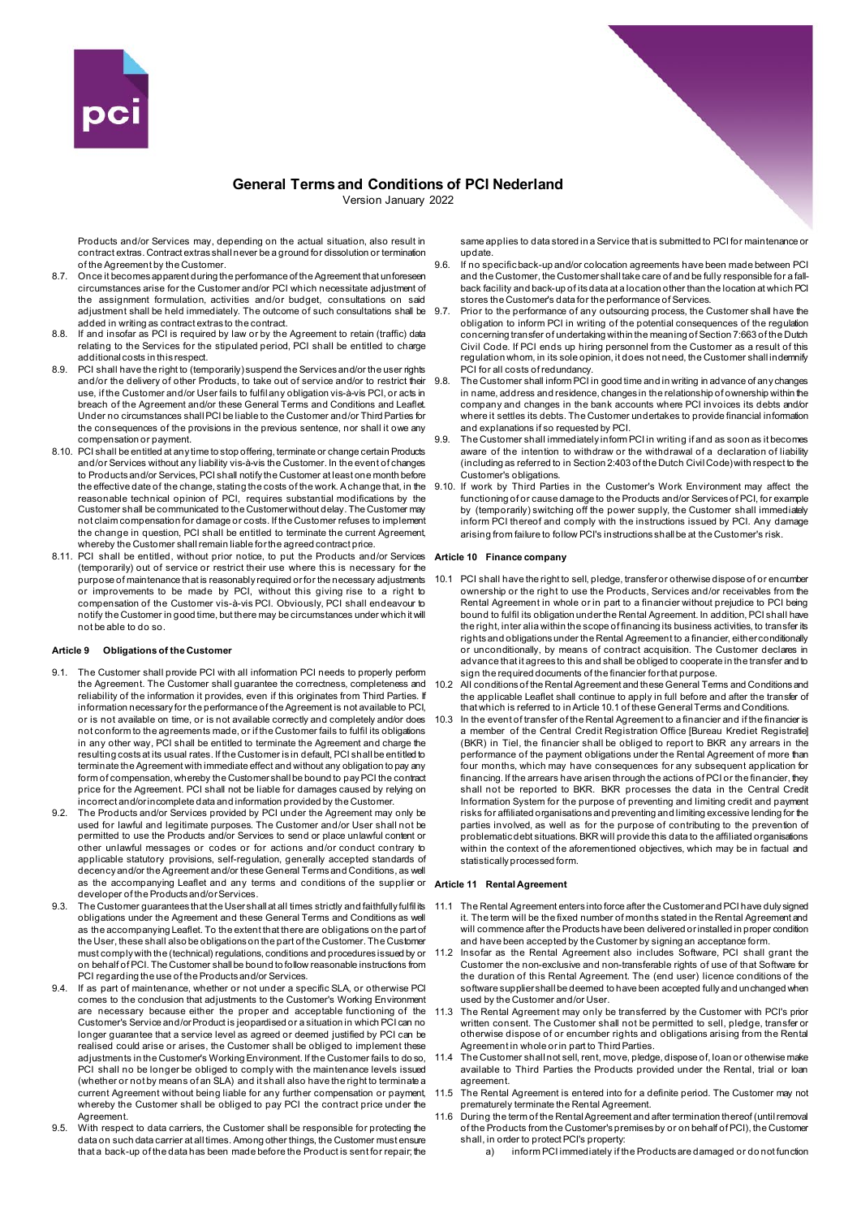

Version January 2022

Products and/or Services may, depending on the actual situation, also result in contract extras. Contract extras shall never be a ground for dissolution or termination of the Agreement by the Customer.

- 8.7. Once it becomes apparent during the performance of the Agreement that unforeseen circumstances arise for the Customer and/or PCI which necessitate adjustment of the assignment formulation, activities and/or budget, consultations on said adjustment shall be held immediately. The outcome of such consultations shall be added in writing as contract extras to the contract.
- 8.8. If and insofar as PCI is required by law or by the Agreement to retain (traffic) data relating to the Services for the stipulated period, PCI shall be entitled to charge additional costs in this respect.
- 8.9. PCI shall have the right to (temporarily) suspend the Services and/or the user rights and/or the delivery of other Products, to take out of service and/or to restrict their use, if the Customer and/or User fails to fulfil any obligation vis-à-vis PCI, or acts in breach of the Agreement and/or these General Terms and Conditions and Leaflet. Under no circumstances shall PCI be liable to the Customer and/or Third Parties for the consequences of the provisions in the previous sentence, nor shall it owe any compensation or payment.
- 8.10. PCI shall be entitled at any time to stop offering, terminate or change certain Products and/or Services without any liability vis-à-vis the Customer. In the event of changes to Products and/or Services, PCI shall notify the Customer at least one month before the effective date of the change, stating the costs of the work. A change that, in the reasonable technical opinion of PCI, requires substantial modifications by the Customer shall be communicated to the Customer without delay. The Customer may not claim compensation for damage or costs. If the Customer refuses to implement the change in question, PCI shall be entitled to terminate the current Agreement, whereby the Customer shall remain liable for the agreed contract price.
- 8.11. PCI shall be entitled, without prior notice, to put the Products and/or Services (temporarily) out of service or restrict their use where this is necessary for the purpose of maintenance that is reasonably required or for the necessary adjustments or improvements to be made by PCI, without this giving rise to a right to compensation of the Customer vis-à-vis PCI. Obviously, PCI shall endeavour to notify the Customer in good time, but there may be circumstances under which it will not be able to do so.

# **Article 9 Obligations of the Customer**

- The Customer shall provide PCI with all information PCI needs to properly perform the Agreement. The Customer shall guarantee the correctness, completeness and reliability of the information it provides, even if this originates from Third Parties. If information necessary for the performance of the Agreement is not available to PCI, or is not available on time, or is not available correctly and completely and/or does not conform to the agreements made, or if the Customer fails to fulfil its obligations in any other way, PCI shall be entitled to terminate the Agreement and charge the resulting costs at its usual rates. If the Customer is in default, PCI shall be entitled to terminate the Agreement with immediate effect and without any obligation to pay any form of compensation, whereby the Customer shall be bound to pay PCI the contract price for the Agreement. PCI shall not be liable for damages caused by relying on incorrect and/or incomplete data and information provided by the Customer.
- The Products and/or Services provided by PCI under the Agreement may only be used for lawful and legitimate purposes. The Customer and/or User shall not be permitted to use the Products and/or Services to send or place unlawful content or other unlawful messages or codes or for actions and/or conduct contrary to applicable statutory provisions, self-regulation, generally accepted standards of decency and/or the Agreement and/or these General Terms and Conditions, as well as the accompanying Leaflet and any terms and conditions of the supplier or developer of the Products and/or Services.
- 9.3. The Customer guarantees that the User shall at all times strictly and faithfully fulfil its obligations under the Agreement and these General Terms and Conditions as well as the accompanying Leaflet. To the extent that there are obligations on the part of the User, these shall also be obligations on the part of the Customer. The Customer must comply with the (technical) regulations, conditions and procedures issued by or on behalf of PCI. The Customer shall be bound to follow reasonable instructions from PCI regarding the use of the Products and/or Services.
- 9.4. If as part of maintenance, whether or not under a specific SLA, or otherwise PCI comes to the conclusion that adjustments to the Customer's Working Environment are necessary because either the proper and acceptable functioning of the Customer's Service and/or Product is jeopardised or a situation in which PCI can no longer guarantee that a service level as agreed or deemed justified by PCI can be realised could arise or arises, the Customer shall be obliged to implement these adjustments in the Customer's Working Environment. If the Customer fails to do so, PCI shall no be longer be obliged to comply with the maintenance levels issued (whether or not by means of an SLA) and it shall also have the right to terminate a current Agreement without being liable for any further compensation or payment, whereby the Customer shall be obliged to pay PCI the contract price under the Agreement.
- 9.5. With respect to data carriers, the Customer shall be responsible for protecting the data on such data carrier at all times. Among other things, the Customer must ensure that a back-up of the data has been made before the Product is sent for repair; the

same applies to data stored in a Service that is submitted to PCI for maintenance or update.

- 9.6. If no specific back-up and/or colocation agreements have been made between PCI and the Customer, the Customer shall take care of and be fully responsible for a fallback facility and back-up of its data at a location other than the location at which PCI stores the Customer's data for the performance of Services.
- Prior to the performance of any outsourcing process, the Customer shall have the obligation to inform PCI in writing of the potential consequences of the regulation concerning transfer of undertaking within the meaning of Section 7:663 of the Dutch Civil Code. If PCI ends up hiring personnel from the Customer as a result of this regulation whom, in its sole opinion, it does not need, the Customer shall indemnify PCI for all costs of redundancy.
- The Customer shall inform PCI in good time and in writing in advance of any changes in name, address and residence, changes in the relationship of ownership within the company and changes in the bank accounts where PCI invoices its debts and/or where it settles its debts. The Customer undertakes to provide financial information and explanations if so requested by PCI.
- 9.9. The Customer shall immediately inform PCI in writing if and as soon as it becomes aware of the intention to withdraw or the withdrawal of a declaration of liability (including as referred to in Section 2:403 of the Dutch Civil Code) with respect to the Customer's obligations.
- 9.10. If work by Third Parties in the Customer's Work Environment may affect the functioning of or cause damage to the Products and/or Services of PCI, for example by (temporarily) switching off the power supply, the Customer shall immediately inform PCI thereof and comply with the instructions issued by PCI. Any damage arising from failure to follow PCI's instructions shall be at the Customer's risk.

#### **Article 10 Finance company**

- 10.1 PCI shall have the right to sell, pledge, transfer or otherwise dispose of or encumber ownership or the right to use the Products, Services and/or receivables from the Rental Agreement in whole or in part to a financier without prejudice to PCI being bound to fulfil its obligation under the Rental Agreement. In addition, PCI shall have the right, inter alia within the scope of financing its business activities, to transfer its rights and obligations under the Rental Agreement to a financier, either conditionally or unconditionally, by means of contract acquisition. The Customer declares in advance that it agrees to this and shall be obliged to cooperate in the transfer and to sign the required documents of the financier for that purpose.
- 10.2 All conditions of the Rental Agreement and these General Terms and Conditions and the applicable Leaflet shall continue to apply in full before and after the transfer of that which is referred to in Article 10.1 of these General Terms and Conditions.
- 10.3 In the event of transfer of the Rental Agreement to a financier and if the financier is a member of the Central Credit Registration Office [Bureau Krediet Registratie] (BKR) in Tiel, the financier shall be obliged to report to BKR any arrears in the performance of the payment obligations under the Rental Agreement of more than four months, which may have consequences for any subsequent application for financing. If the arrears have arisen through the actions of PCI or the financier, they shall not be reported to BKR. BKR processes the data in the Central Credit Information System for the purpose of preventing and limiting credit and payment risks for affiliated organisations and preventing and limiting excessive lending for the parties involved, as well as for the purpose of contributing to the prevention of problematic debt situations. BKR will provide this data to the affiliated organisations within the context of the aforementioned objectives, which may be in factual and statistically processed form.

#### **Article 11 Rental Agreement**

- 11.1 The Rental Agreement enters into force after the Customer and PCI have duly signed it. The term will be the fixed number of months stated in the Rental Agreement and will commence after the Products have been delivered or installed in proper condition and have been accepted by the Customer by signing an acceptance form.
- 11.2 Insofar as the Rental Agreement also includes Software, PCI shall grant the Customer the non-exclusive and non-transferable rights of use of that Software for the duration of this Rental Agreement. The (end user) licence conditions of the software supplier shall be deemed to have been accepted fully and unchanged when used by the Customer and/or User.
- 11.3 The Rental Agreement may only be transferred by the Customer with PCI's prior written consent. The Customer shall not be permitted to sell, pledge, transfer or otherwise dispose of or encumber rights and obligations arising from the Rental Agreement in whole or in part to Third Parties.
- 11.4 The Customer shall not sell, rent, move, pledge, dispose of, loan or otherwise make available to Third Parties the Products provided under the Rental, trial or loan agreement.
- 11.5 The Rental Agreement is entered into for a definite period. The Customer may not prematurely terminate the Rental Agreement.
- 11.6 During the term of the Rental Agreement and after termination thereof (until removal of the Products from the Customer's premises by or on behalf of PCI), the Customer shall, in order to protect PCI's property:
	- a) inform PCI immediately if the Products are damaged or do not function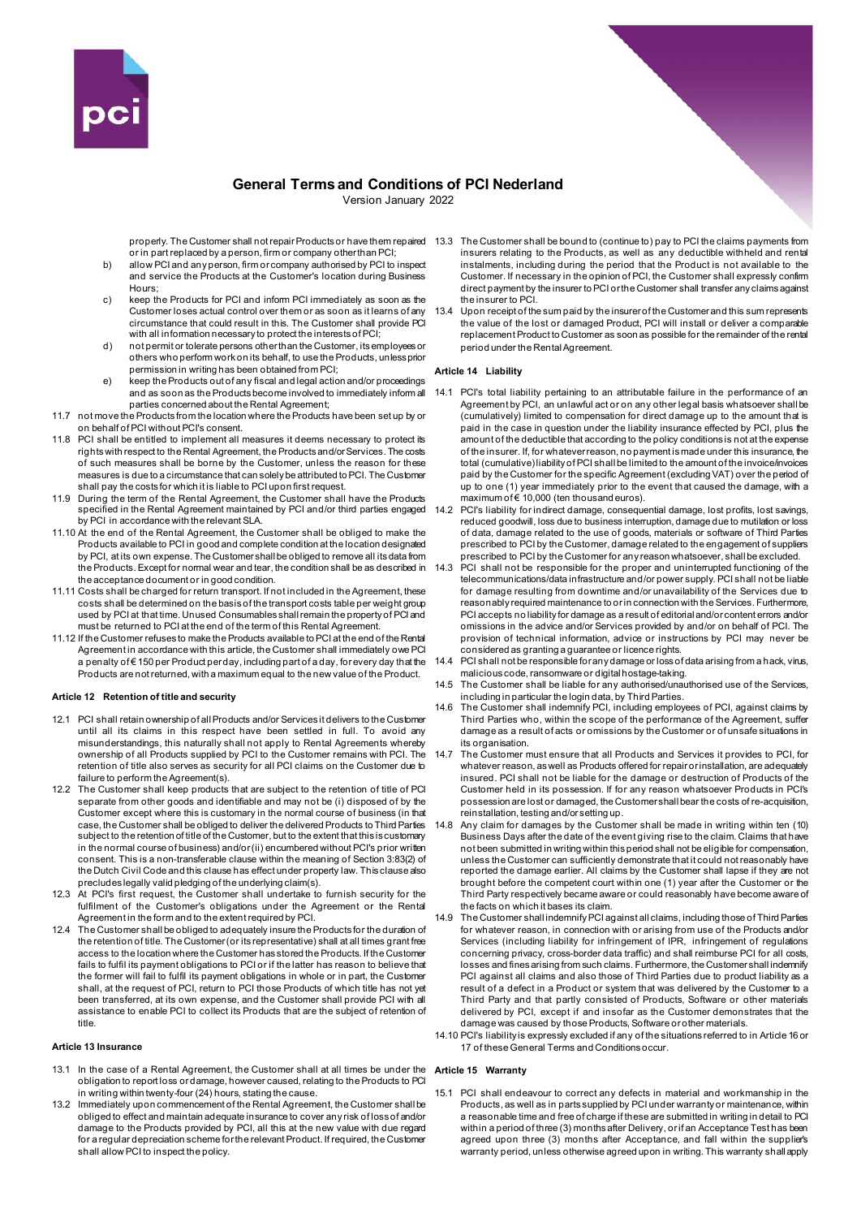

Version January 2022

or in part replaced by a person, firm or company other than PCI;

- b) allow PCI and any person, firm or company authorised by PCI to inspect and service the Products at the Customer's location during Business Hours;
- c) keep the Products for PCI and inform PCI immediately as soon as the Customer loses actual control over them or as soon as it learns of any circumstance that could result in this. The Customer shall provide PCI with all information necessary to protect the interests of PCI;
- d) not permit or tolerate persons other than the Customer, its employees or others who perform work on its behalf, to use the Products, unless prior permission in writing has been obtained from PCI;
- e) keep the Products out of any fiscal and legal action and/or proceedings and as soon as the Products become involved to immediately inform all parties concerned about the Rental Agreement;
- 11.7 not move the Products from the location where the Products have been set up by or on behalf of PCI without PCI's consent.
- 11.8 PCI shall be entitled to implement all measures it deems necessary to protect its rights with respect to the Rental Agreement, the Products and/or Services. The costs of such measures shall be borne by the Customer, unless the reason for these measures is due to a circumstance that can solely be attributed to PCI. The Customer shall pay the costs for which it is liable to PCI upon first request.
- 11.9 During the term of the Rental Agreement, the Customer shall have the Products specified in the Rental Agreement maintained by PCI and/or third parties engaged by PCI in accordance with the relevant SLA.
- 11.10 At the end of the Rental Agreement, the Customer shall be obliged to make the Products available to PCI in good and complete condition at the location designated by PCI, at its own expense. The Customer shall be obliged to remove all its data from the Products. Except for normal wear and tear, the condition shall be as described in the acceptance document or in good condition.
- 11.11 Costs shall be charged for return transport. If not included in the Agreement, these costs shall be determined on the basis of the transport costs table per weight group used by PCI at that time. Unused Consumables shall remain the property of PCI and must be returned to PCI at the end of the term of this Rental Agreement.
- 11.12 If the Customer refuses to make the Products available to PCI at the end of the Rental Agreement in accordance with this article, the Customer shall immediately owe PCI a penalty of € 150 per Product per day, including part of a day, for every day that the Products are not returned, with a maximum equal to the new value of the Product.

# **Article 12 Retention of title and security**

- 12.1 PCI shall retain ownership of all Products and/or Services it delivers to the Customer until all its claims in this respect have been settled in full. To avoid any misunderstandings, this naturally shall not apply to Rental Agreements whereby ownership of all Products supplied by PCI to the Customer remains with PCI. The retention of title also serves as security for all PCI claims on the Customer due to failure to perform the Agreement(s).
- 12.2 The Customer shall keep products that are subject to the retention of title of PCI separate from other goods and identifiable and may not be (i) disposed of by the Customer except where this is customary in the normal course of business (in that case, the Customer shall be obliged to deliver the delivered Products to Third Parties subject to the retention of title of the Customer, but to the extent that this is customary in the normal course of business) and/or (ii) encumbered without PCI's prior written consent. This is a non-transferable clause within the meaning of Section 3:83(2) of the Dutch Civil Code and this clause has effect under property law. This clause also precludes legally valid pledging of the underlying claim(s).
- 12.3 At PCI's first request, the Customer shall undertake to furnish security for the fulfilment of the Customer's obligations under the Agreement or the Rental Agreement in the form and to the extent required by PCI.
- 12.4 The Customer shall be obliged to adequately insure the Products for the duration of the retention of title. The Customer (or its representative) shall at all times grant free access to the location where the Customer has stored the Products. If the Customer fails to fulfil its payment obligations to PCI or if the latter has reason to believe that the former will fail to fulfil its payment obligations in whole or in part, the Customer shall, at the request of PCI, return to PCI those Products of which title has not yet been transferred, at its own expense, and the Customer shall provide PCI with all assistance to enable PCI to collect its Products that are the subject of retention of title.

# **Article 13 Insurance**

- 13.1 In the case of a Rental Agreement, the Customer shall at all times be under the obligation to report loss or damage, however caused, relating to the Products to PC in writing within twenty-four (24) hours, stating the cause.
- 13.2 Immediately upon commencement of the Rental Agreement, the Customer shall be obliged to effect and maintain adequate insurance to cover any risk of loss of and/or damage to the Products provided by PCI, all this at the new value with due regard for a regular depreciation scheme for the relevant Product. If required, the Customer shall allow PCI to inspect the policy.
- properly. The Customer shall not repair Products or have them repaired 13.3 The Customer shall be bound to (continue to) pay to PCI the claims payments from insurers relating to the Products, as well as any deductible withheld and rental instalments, including during the period that the Product is not available to the Customer. If necessary in the opinion of PCI, the Customer shall expressly confirm direct payment by the insurer to PCI or the Customer shall transfer any claims against the insurer to PCI.
	- 13.4 Upon receipt of the sum paid by the insurer of the Customer and this sum represents the value of the lost or damaged Product, PCI will install or deliver a comparable replacement Product to Customer as soon as possible for the remainder of the rental period under the Rental Agreement.

# **Article 14 Liability**

- 14.1 PCI's total liability pertaining to an attributable failure in the performance of an Agreement by PCI, an unlawful act or on any other legal basis whatsoever shall be (cumulatively) limited to compensation for direct damage up to the amount that is paid in the case in question under the liability insurance effected by PCI, plus the amount of the deductible that according to the policy conditions is not at the expense of the insurer. If, for whatever reason, no payment is made under this insurance, the total (cumulative) liability of PCI shall be limited to the amount of the invoice/invoices paid by the Customer for the specific Agreement (excluding VAT) over the period of up to one (1) year immediately prior to the event that caused the damage, with a  $maximum of  $\in$  10,000 (ten thousand euros).$
- 14.2 PCI's liability for indirect damage, consequential damage, lost profits, lost savings, reduced goodwill, loss due to business interruption, damage due to mutilation or loss of data, damage related to the use of goods, materials or software of Third Parties prescribed to PCI by the Customer, damage related to the engagement of suppliers prescribed to PCI by the Customer for any reason whatsoever, shall be excluded.
- 14.3 PCI shall not be responsible for the proper and uninterrupted functioning of the telecommunications/data infrastructure and/or power supply. PCI shall not be liable for damage resulting from downtime and/or unavailability of the Services due to reasonably required maintenance to or in connection with the Services. Furthermore, PCI accepts no liability for damage as a result of editorial and/or content errors and/or omissions in the advice and/or Services provided by and/or on behalf of PCI. The provision of technical information, advice or instructions by PCI may never be considered as granting a guarantee or licence rights.
- PCI shall not be responsible for any damage or loss of data arising from a hack, virus, malicious code, ransomware or digital hostage-taking.
- 14.5 The Customer shall be liable for any authorised/unauthorised use of the Services, including in particular the login data, by Third Parties.
- 14.6 The Customer shall indemnify PCI, including employees of PCI, against claims by Third Parties who, within the scope of the performance of the Agreement, suffer damage as a result of acts or omissions by the Customer or of unsafe situations in its organisation.
- 14.7 The Customer must ensure that all Products and Services it provides to PCI, for whatever reason, as well as Products offered for repair or installation, are adequately insured. PCI shall not be liable for the damage or destruction of Products of the Customer held in its possession. If for any reason whatsoever Products in PCI's possession are lost or damaged, the Customer shall bear the costs of re-acquisition, reinstallation, testing and/or setting up.
- 14.8 Any claim for damages by the Customer shall be made in writing within ten (10) Business Days after the date of the event giving rise to the claim. Claims that have not been submitted in writing within this period shall not be eligible for compensation, unless the Customer can sufficiently demonstrate that it could not reasonably have reported the damage earlier. All claims by the Customer shall lapse if they are not brought before the competent court within one (1) year after the Customer or the Third Party respectively became aware or could reasonably have become aware of the facts on which it bases its claim.
- 14.9 The Customer shall indemnify PCI against all claims, including those of Third Parties for whatever reason, in connection with or arising from use of the Products and/or Services (including liability for infringement of IPR, infringement of regulations concerning privacy, cross-border data traffic) and shall reimburse PCI for all costs, losses and fines arising from such claims. Furthermore, the Customer shall indemnify PCI against all claims and also those of Third Parties due to product liability as a result of a defect in a Product or system that was delivered by the Customer to a Third Party and that partly consisted of Products, Software or other materials delivered by PCI, except if and insofar as the Customer demonstrates that the damage was caused by those Products, Software or other materials.
- 14.10 PCI's liability is expressly excluded if any of the situations referred to in Article 16 or 17 of these General Terms and Conditions occur.

# **Article 15 Warranty**

15.1 PCI shall endeavour to correct any defects in material and workmanship in the Products, as well as in parts supplied by PCI under warranty or maintenance, within a reasonable time and free of charge if these are submitted in writing in detail to PCI within a period of three (3) months after Delivery, or if an Acceptance Test has been agreed upon three (3) months after Acceptance, and fall within the supplier's warranty period, unless otherwise agreed upon in writing. This warranty shall apply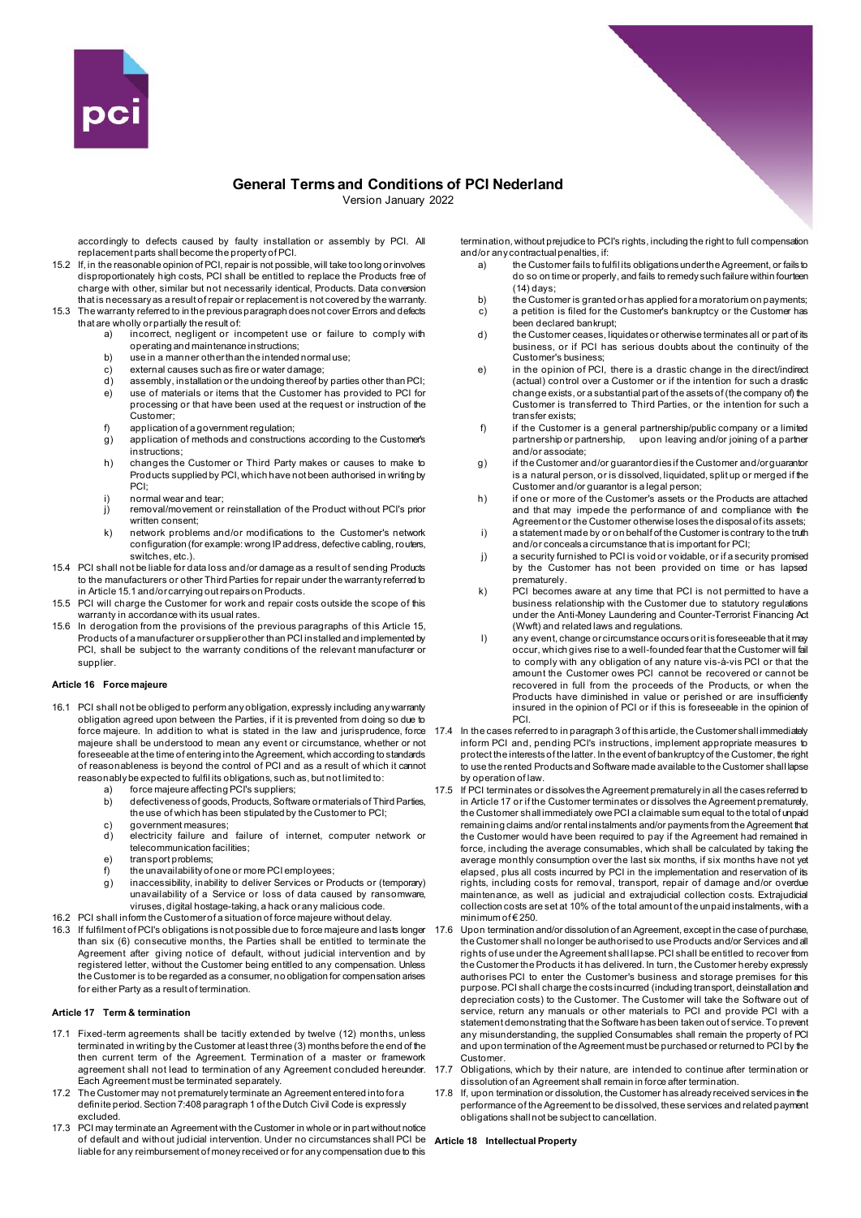

Version January 2022

accordingly to defects caused by faulty installation or assembly by PCI. All replacement parts shall become the property of PCI.

- 15.2 If, in the reasonable opinion of PCI, repair is not possible, will take too long or involves disproportionately high costs, PCI shall be entitled to replace the Products free of charge with other, similar but not necessarily identical, Products. Data conversion that is necessary as a result of repair or replacement is not covered by the warranty. 15.3 The warranty referred to in the previous paragraph does not cover Errors and defects
- that are wholly or partially the result of: a) incorrect, negligent or incompetent use or failure to comply with
	- operating and maintenance instructions;
	- b) use in a manner other than the intended normal use;
	- c) external causes such as fire or water damage;<br>d) assembly, installation or the undoing thereof by
	- assembly, installation or the undoing thereof by parties other than PCI; e) use of materials or items that the Customer has provided to PCI for processing or that have been used at the request or instruction of the Customer;
	-
	- f) application of a government regulation; g) application of methods and constructions according to the Customer's instructions;
	- h) changes the Customer or Third Party makes or causes to make to Products supplied by PCI, which have not been authorised in writing by PCI;
	- i) normal wear and tear;
	- j) removal/movement or reinstallation of the Product without PCI's prior written consent;
	- k) network problems and/or modifications to the Customer's network configuration (for example: wrong IP address, defective cabling, routers, switches, etc.).
- 15.4 PCI shall not be liable for data loss and/or damage as a result of sending Products to the manufacturers or other Third Parties for repair under the warranty referred to in Article 15.1 and/or carrying out repairs on Products.
- 15.5 PCI will charge the Customer for work and repair costs outside the scope of this warranty in accordance with its usual rates.
- 15.6 In derogation from the provisions of the previous paragraphs of this Article 15, Products of a manufacturer or supplier other than PCI installed and implemented by PCI, shall be subject to the warranty conditions of the relevant manufacturer or supplier.

### **Article 16 Force majeure**

- 16.1 PCI shall not be obliged to perform any obligation, expressly including any warranty obligation agreed upon between the Parties, if it is prevented from doing so due to force majeure. In addition to what is stated in the law and jurisprudence, force majeure shall be understood to mean any event or circumstance, whether or not foreseeable at the time of entering into the Agreement, which according to standards of reasonableness is beyond the control of PCI and as a result of which it cannot reasonably be expected to fulfil its obligations, such as, but not limited to:
	- force majeure affecting PCI's suppliers;
	- b) defectiveness of goods, Products, Software or materials of Third Parties, the use of which has been stipulated by the Customer to PCI;
	- c) government measures;<br>d) electricity failure and
	- dectricity failure and failure of internet, computer network or telecommunication facilities;
	- e) transport problems;
	- f) the unavailability of one or more PCI employees; g) inaccessibility, inability to deliver Services or Products or (temporary)
- unavailability of a Service or loss of data caused by ransomware, viruses, digital hostage-taking, a hack or any malicious code. 16.2 PCI shall inform the Customer of a situation of force majeure without delay.
- 16.3 If fulfilment of PCI's obligations is not possible due to force majeure and lasts longer than six (6) consecutive months, the Parties shall be entitled to terminate the Agreement after giving notice of default, without judicial intervention and by registered letter, without the Customer being entitled to any compensation. Unless the Customer is to be regarded as a consumer, no obligation for compensation arises for either Party as a result of termination.

# **Article 17 Term & termination**

- 17.1 Fixed-term agreements shall be tacitly extended by twelve (12) months, unless terminated in writing by the Customer at least three (3) months before the end of the then current term of the Agreement. Termination of a master or framework agreement shall not lead to termination of any Agreement concluded hereunder. Each Agreement must be terminated separately.
- 17.2 The Customer may not prematurely terminate an Agreement entered into for a definite period. Section 7:408 paragraph 1 of the Dutch Civil Code is expressly excluded.
- 17.3 PCI may terminate an Agreement with the Customer in whole or in part without notice of default and without judicial intervention. Under no circumstances shall PCI be liable for any reimbursement of money received or for any compensation due to this

termination, without prejudice to PCI's rights, including the right to full compensation and/or any contractual penalties, if:<br>a) the Customer fails to fu

- a) the Customer fails to fulfil its obligations under the Agreement, or fails to do so on time or properly, and fails to remedy such failure within fourteen (14) days;
- b) the Customer is granted or has applied for a moratorium on payments; c) a petition is filed for the Customer's bankruptcy or the Customer has been declared bankrupt;
- d) the Customer ceases, liquidates or otherwise terminates all or part of its business, or if PCI has serious doubts about the continuity of the Customer's business;
- e) in the opinion of PCI, there is a drastic change in the direct/indirect (actual) control over a Customer or if the intention for such a drastic  $\overline{\phantom{a}}$ change exists, or a substantial part of the assets of (the company of) the Customer is transferred to Third Parties, or the intention for such a transfer exists;
- f) if the Customer is a general partnership/public company or a limited partnership or partnership, upon leaving and/or joining of a partner and/or associate;
- g) if the Customer and/or guarantor dies if the Customer and/or guarantor is a natural person, or is dissolved, liquidated, split up or merged if the Customer and/or guarantor is a legal person;
- h) if one or more of the Customer's assets or the Products are attached and that may impede the performance of and compliance with the Agreement or the Customer otherwise loses the disposal of its assets;
- i) a statement made by or on behalf of the Customer is contrary to the truth and/or conceals a circumstance that is important for PCI; j) a security furnished to PCI is void or voidable, or if a security promised
- by the Customer has not been provided on time or has lapsed prematurely.
- k) PCI becomes aware at any time that PCI is not permitted to have a business relationship with the Customer due to statutory regulations under the Anti-Money Laundering and Counter-Terrorist Financing Act (Wwft) and related laws and regulations.
- l) any event, change or circumstance occurs or it is foreseeable that it may occur, which gives rise to a well-founded fear that the Customer will fail to comply with any obligation of any nature vis-à-vis PCI or that the amount the Customer owes PCI cannot be recovered or cannot be recovered in full from the proceeds of the Products, or when the Products have diminished in value or perished or are insufficiently insured in the opinion of PCI or if this is foreseeable in the opinion of PCI.
- 17.4 In the cases referred to in paragraph 3 of this article, the Customer shall immediately inform PCI and, pending PCI's instructions, implement appropriate measures to protect the interests of the latter. In the event of bankruptcy of the Customer, the right to use the rented Products and Software made available to the Customer shall lapse by operation of law.
- 17.5 If PCI terminates or dissolves the Agreement prematurely in all the cases referred to in Article 17 or if the Customer terminates or dissolves the Agreement prematurely, the Customer shall immediately owe PCI a claimable sum equal to the total of unpaid remaining claims and/or rental instalments and/or payments from the Agreement that the Customer would have been required to pay if the Agreement had remained in force, including the average consumables, which shall be calculated by taking the average monthly consumption over the last six months, if six months have not yet elapsed, plus all costs incurred by PCI in the implementation and reservation of its rights, including costs for removal, transport, repair of damage and/or overdue maintenance, as well as judicial and extrajudicial collection costs. Extrajudicial collection costs are set at 10% of the total amount of the unpaid instalments, with a minimum of € 250.
- 17.6 Upon termination and/or dissolution of an Agreement, except in the case of purchase, the Customer shall no longer be authorised to use Products and/or Services and all rights of use under the Agreement shall lapse. PCI shall be entitled to recover from the Customer the Products it has delivered. In turn, the Customer hereby expressly authorises PCI to enter the Customer's business and storage premises for this purpose. PCI shall charge the costs incurred (including transport, deinstallation and depreciation costs) to the Customer. The Customer will take the Software out of service, return any manuals or other materials to PCI and provide PCI with a statement demonstrating that the Software has been taken out of service. To prevent any misunderstanding, the supplied Consumables shall remain the property of PCI and upon termination of the Agreement must be purchased or returned to PCI by the Customer.
- 17.7 Obligations, which by their nature, are intended to continue after termination or dissolution of an Agreement shall remain in force after termination.
- 17.8 If, upon termination or dissolution, the Customer has already received services in the performance of the Agreement to be dissolved, these services and related payment obligations shall not be subject to cancellation.

# **Article 18 Intellectual Property**